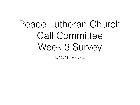## Peace Lutheran Church Call Committee Week 3 Survey

5/15/16 Service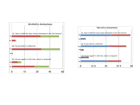

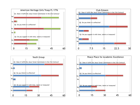





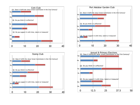





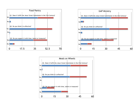

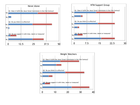

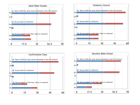





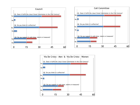